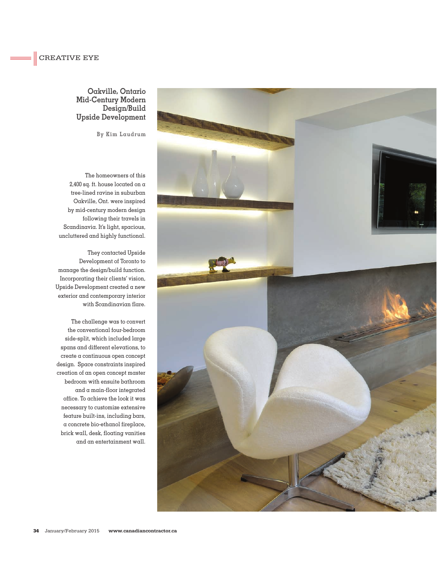## **Oakville, Ontario Mid-Century Modern Design/Build Upside Development**

**By Kim Laudrum**

The homeowners of this 2,400 sq. ft. house located on a tree-lined ravine in suburban Oakville, Ont. were inspired by mid-century modern design following their travels in Scandinavia. It's light, spacious, uncluttered and highly functional.

They contacted Upside Development of Toronto to manage the design/build function. Incorporating their clients' vision, Upside Development created a new exterior and contemporary interior with Scandinavian flare.

The challenge was to convert the conventional four-bedroom side-split, which included large spans and different elevations, to create a continuous open concept design. Space constraints inspired creation of an open concept master bedroom with ensuite bathroom and a main-floor integrated office. To achieve the look it was necessary to customize extensive feature built-ins, including bars, a concrete bio-ethanol fireplace, brick wall, desk, floating vanities and an entertainment wall.

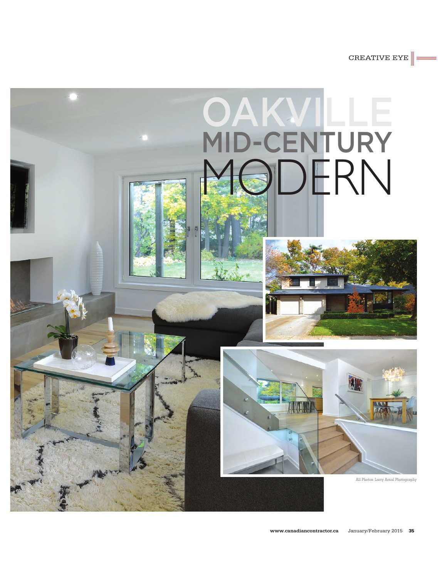CREATIVE EYE

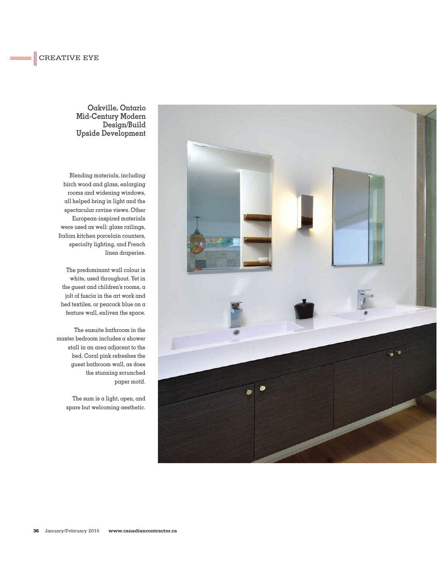## **Oakville, Ontario Mid-Century Modern Design/Build Upside Development**

Blending materials, including birch wood and glass, enlarging rooms and widening windows, all helped bring in light and the spectacular ravine views. Other European-inspired materials were used as well: glass railings, Italian kitchen porcelain counters, specialty lighting, and French linen draperies.

The predominant wall colour is white, used throughout. Yet in the guest and children's rooms, a jolt of fuscia in the art work and bed textiles, or peacock blue on  $\alpha$ feature wall, enliven the space.

The ensuite bathroom in the master bedroom includes a shower stall in an area adjacent to the bed. Coral pink refreshes the guest bathroom wall, as does the stunning scrunched paper motif.

> The sum is  $\alpha$  light, open, and spare but welcoming aesthetic.

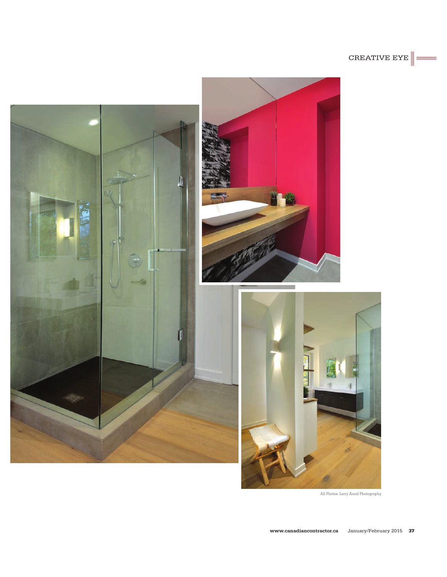



All Photos: Larry Arnal Photography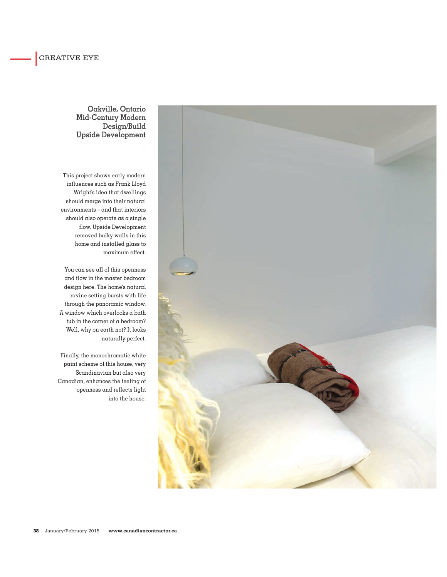## **Oakville, Ontario Mid-Century Modern Design/Build Upside Development**

This project shows early modern influences such as Frank Lloyd Wright's idea that dwellings should merge into their natural environments – and that interiors should also operate as a single flow. Upside Development removed bulky walls in this home and installed glass to maximum effect.

You can see all of this openness and flow in the master bedroom design here. The home's natural ravine setting bursts with life through the panoramic window. A window which overlooks  $\alpha$  bath tub in the corner of a bedroom? Well, why on earth not? It looks naturally perfect.

Finally, the monochromatic white paint scheme of this house, very Scandinavian but also very Canadian, enhances the feeling of openness and reflects light into the house.